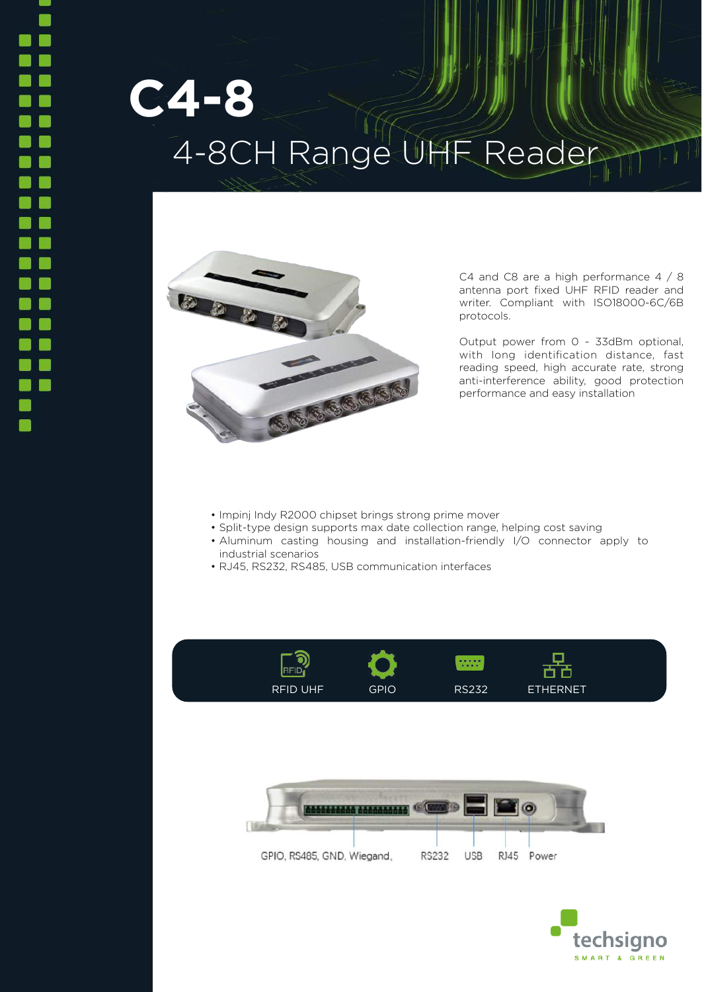## **C4-8** 4-8CH Range UHF Reader



C4 and C8 are a high performance 4 / 8 antenna port fixed UHF RFID reader and writer. Compliant with ISO18000-6C/6B protocols.

Output power from 0 ~ 33dBm optional, with long identification distance, fast reading speed, high accurate rate, strong anti-interference ability, good protection performance and easy installation

- Impinj Indy R2000 chipset brings strong prime mover
- Split-type design supports max date collection range, helping cost saving
- Aluminum casting housing and installation-friendly I/O connector apply to industrial scenarios
- RJ45, RS232, RS485, USB communication interfaces